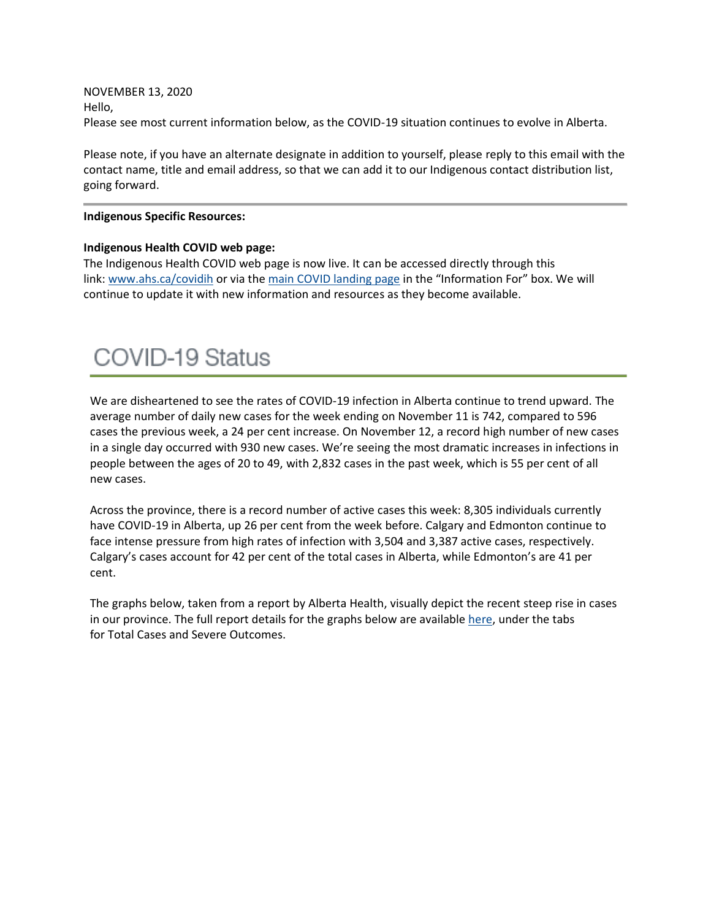NOVEMBER 13, 2020 Hello, Please see most current information below, as the COVID-19 situation continues to evolve in Alberta.

Please note, if you have an alternate designate in addition to yourself, please reply to this email with the contact name, title and email address, so that we can add it to our Indigenous contact distribution list, going forward.

#### **Indigenous Specific Resources:**

#### **Indigenous Health COVID web page:**

The Indigenous Health COVID web page is now live. It can be accessed directly through this link: [www.ahs.ca/covidih](http://www.ahs.ca/covidih) or via the [main COVID landing page](https://www.albertahealthservices.ca/topics/Page16944.aspx) in the "Information For" box. We will continue to update it with new information and resources as they become available.

# **COVID-19 Status**

We are disheartened to see the rates of COVID-19 infection in Alberta continue to trend upward. The average number of daily new cases for the week ending on November 11 is 742, compared to 596 cases the previous week, a 24 per cent increase. On November 12, a record high number of new cases in a single day occurred with 930 new cases. We're seeing the most dramatic increases in infections in people between the ages of 20 to 49, with 2,832 cases in the past week, which is 55 per cent of all new cases.

Across the province, there is a record number of active cases this week: 8,305 individuals currently have COVID-19 in Alberta, up 26 per cent from the week before. Calgary and Edmonton continue to face intense pressure from high rates of infection with 3,504 and 3,387 active cases, respectively. Calgary's cases account for 42 per cent of the total cases in Alberta, while Edmonton's are 41 per cent.

The graphs below, taken from a report by Alberta Health, visually depict the recent steep rise in cases in our province. The full report details for the graphs below are available [here,](https://www.alberta.ca/stats/covid-19-alberta-statistics.htm) under the tabs for Total Cases and Severe Outcomes.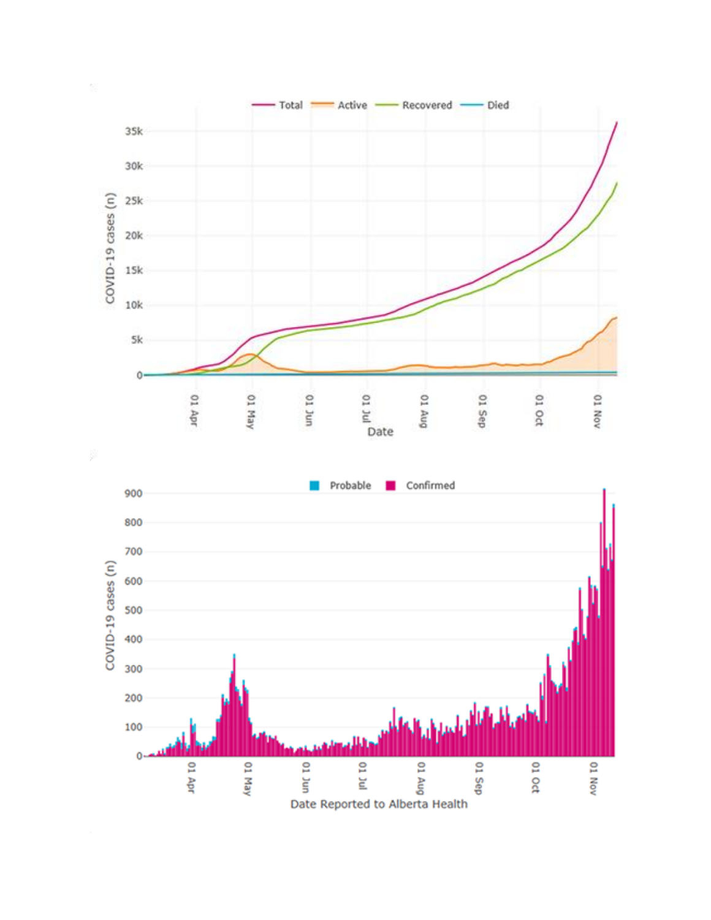



01 Nov

01 Sep

01 Oct

 $\mathbf{0}$ 

01 Apr

O1 May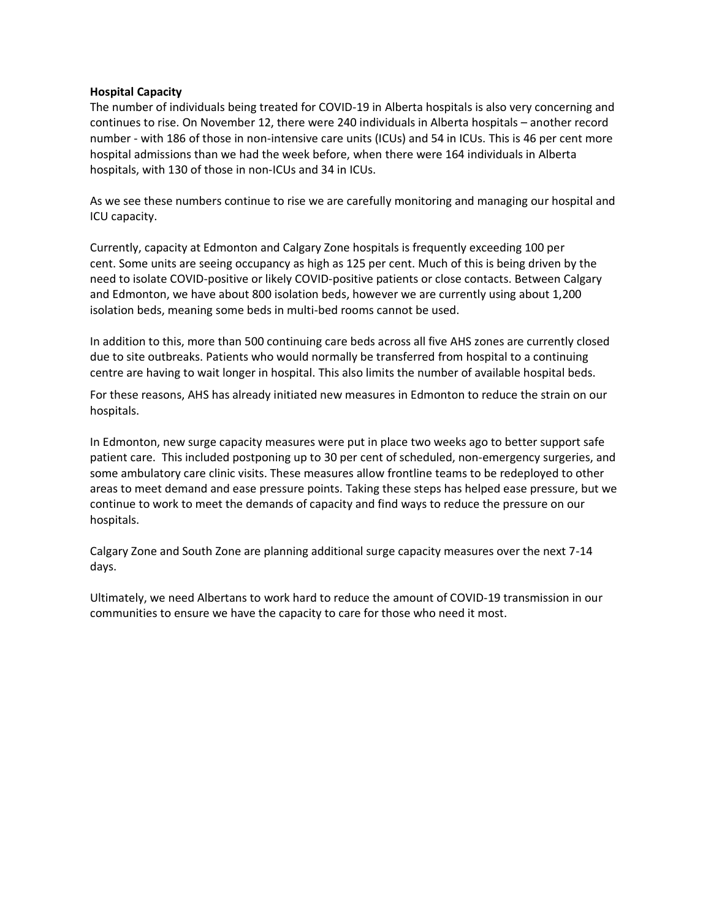### **Hospital Capacity**

The number of individuals being treated for COVID-19 in Alberta hospitals is also very concerning and continues to rise. On November 12, there were 240 individuals in Alberta hospitals – another record number - with 186 of those in non-intensive care units (ICUs) and 54 in ICUs. This is 46 per cent more hospital admissions than we had the week before, when there were 164 individuals in Alberta hospitals, with 130 of those in non-ICUs and 34 in ICUs.

As we see these numbers continue to rise we are carefully monitoring and managing our hospital and ICU capacity.

Currently, capacity at Edmonton and Calgary Zone hospitals is frequently exceeding 100 per cent. Some units are seeing occupancy as high as 125 per cent. Much of this is being driven by the need to isolate COVID-positive or likely COVID-positive patients or close contacts. Between Calgary and Edmonton, we have about 800 isolation beds, however we are currently using about 1,200 isolation beds, meaning some beds in multi-bed rooms cannot be used.

In addition to this, more than 500 continuing care beds across all five AHS zones are currently closed due to site outbreaks. Patients who would normally be transferred from hospital to a continuing centre are having to wait longer in hospital. This also limits the number of available hospital beds.

For these reasons, AHS has already initiated new measures in Edmonton to reduce the strain on our hospitals.

In Edmonton, new surge capacity measures were put in place two weeks ago to better support safe patient care. This included postponing up to 30 per cent of scheduled, non-emergency surgeries, and some ambulatory care clinic visits. These measures allow frontline teams to be redeployed to other areas to meet demand and ease pressure points. Taking these steps has helped ease pressure, but we continue to work to meet the demands of capacity and find ways to reduce the pressure on our hospitals.

Calgary Zone and South Zone are planning additional surge capacity measures over the next 7-14 days.

Ultimately, we need Albertans to work hard to reduce the amount of COVID-19 transmission in our communities to ensure we have the capacity to care for those who need it most.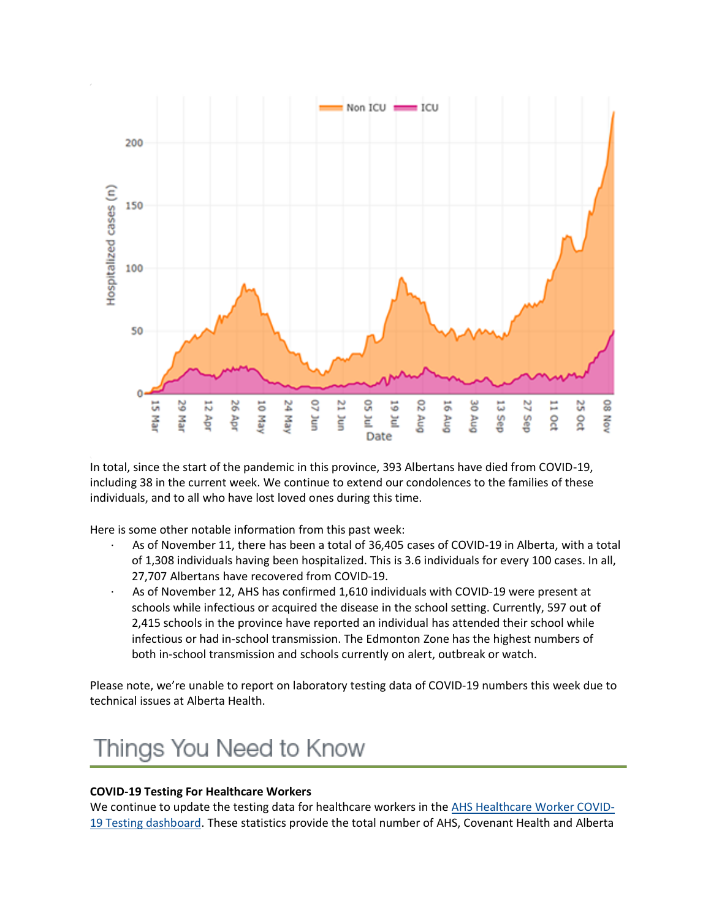

In total, since the start of the pandemic in this province, 393 Albertans have died from COVID-19, including 38 in the current week. We continue to extend our condolences to the families of these individuals, and to all who have lost loved ones during this time.

Here is some other notable information from this past week:

- · As of November 11, there has been a total of 36,405 cases of COVID-19 in Alberta, with a total of 1,308 individuals having been hospitalized. This is 3.6 individuals for every 100 cases. In all, 27,707 Albertans have recovered from COVID-19.
- As of November 12, AHS has confirmed 1,610 individuals with COVID-19 were present at schools while infectious or acquired the disease in the school setting. Currently, 597 out of 2,415 schools in the province have reported an individual has attended their school while infectious or had in-school transmission. The Edmonton Zone has the highest numbers of both in-school transmission and schools currently on alert, outbreak or watch.

Please note, we're unable to report on laboratory testing data of COVID-19 numbers this week due to technical issues at Alberta Health.

# Things You Need to Know

# **COVID-19 Testing For Healthcare Workers**

We continue to update the testing data for healthcare workers in the [AHS Healthcare Worker COVID-](https://tableau.albertahealthservices.ca/#/views/AHSEmployeePhysicianCOVID-19TestSurveillanceDashboard/Introduction?:iid=1)[19 Testing dashboard.](https://tableau.albertahealthservices.ca/#/views/AHSEmployeePhysicianCOVID-19TestSurveillanceDashboard/Introduction?:iid=1) These statistics provide the total number of AHS, Covenant Health and Alberta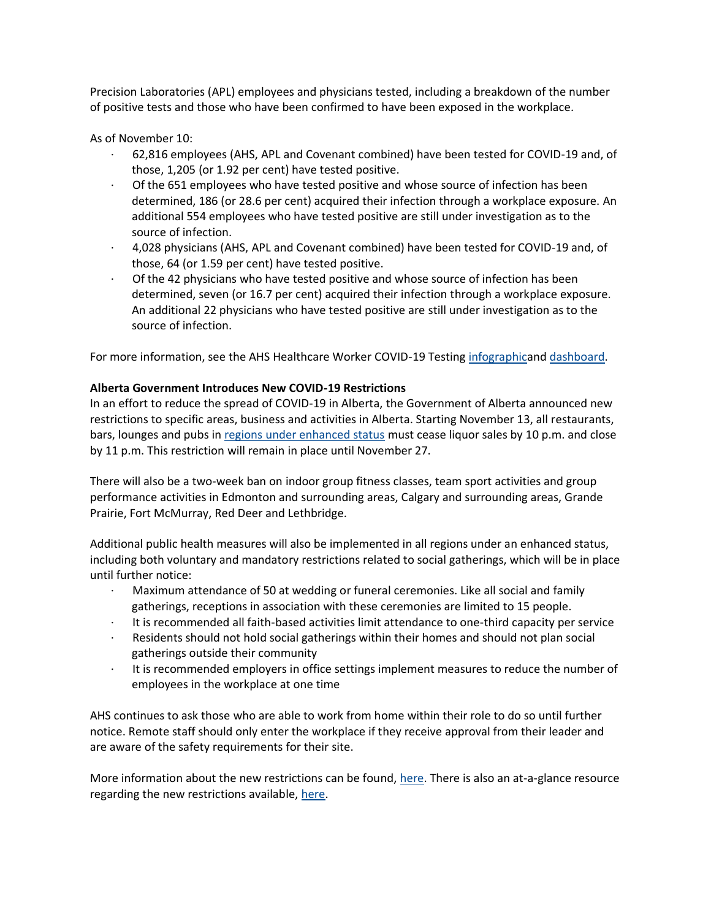Precision Laboratories (APL) employees and physicians tested, including a breakdown of the number of positive tests and those who have been confirmed to have been exposed in the workplace.

As of November 10:

- · 62,816 employees (AHS, APL and Covenant combined) have been tested for COVID-19 and, of those, 1,205 (or 1.92 per cent) have tested positive.
- Of the 651 employees who have tested positive and whose source of infection has been determined, 186 (or 28.6 per cent) acquired their infection through a workplace exposure. An additional 554 employees who have tested positive are still under investigation as to the source of infection.
- · 4,028 physicians (AHS, APL and Covenant combined) have been tested for COVID-19 and, of those, 64 (or 1.59 per cent) have tested positive.
- Of the 42 physicians who have tested positive and whose source of infection has been determined, seven (or 16.7 per cent) acquired their infection through a workplace exposure. An additional 22 physicians who have tested positive are still under investigation as to the source of infection.

For more information, see the AHS Healthcare Worker COVID-19 Testing [infographica](https://insite.albertahealthservices.ca/main/assets/tls/ep/tls-ep-covid-19-healthcare-worker-testing-infographic.pdf)nd [dashboard.](https://tableau.albertahealthservices.ca/#/views/AHSEmployeePhysicianCOVID-19TestSurveillanceDashboard/Introduction?:iid=1)

# **Alberta Government Introduces New COVID-19 Restrictions**

In an effort to reduce the spread of COVID-19 in Alberta, the Government of Alberta announced new restrictions to specific areas, business and activities in Alberta. Starting November 13, all restaurants, bars, lounges and pubs in [regions under enhanced status](https://www.alberta.ca/maps/covid-19-status-map.htm) must cease liquor sales by 10 p.m. and close by 11 p.m. This restriction will remain in place until November 27.

There will also be a two-week ban on indoor group fitness classes, team sport activities and group performance activities in Edmonton and surrounding areas, Calgary and surrounding areas, Grande Prairie, Fort McMurray, Red Deer and Lethbridge.

Additional public health measures will also be implemented in all regions under an enhanced status, including both voluntary and mandatory restrictions related to social gatherings, which will be in place until further notice:

- · Maximum attendance of 50 at wedding or funeral ceremonies. Like all social and family gatherings, receptions in association with these ceremonies are limited to 15 people.
- · It is recommended all faith-based activities limit attendance to one-third capacity per service
- Residents should not hold social gatherings within their homes and should not plan social gatherings outside their community
- · It is recommended employers in office settings implement measures to reduce the number of employees in the workplace at one time

AHS continues to ask those who are able to work from home within their role to do so until further notice. Remote staff should only enter the workplace if they receive approval from their leader and are aware of the safety requirements for their site.

More information about the new restrictions can be found, [here.](https://www.alberta.ca/release.cfm?xID=7568972979AB6-C710-8665-95A628DF4EBB5F51) There is also an at-a-glance resource regarding the new restrictions available, [here.](https://www.alberta.ca/enhanced-public-health-measures.aspx?utm_source=google&utm_medium=sem&utm_campaign=Covid19&utm_term=yeg-health-measures&utm_content=v1&gclid=CjwKCAiA17P9BRB2EiwAMvwNyMBoglPVzlXtwwydC40lEwkQRsS6Vqlxjqs7Dl_HBwx7YOcKKrCLqhoC_WsQAvD_BwE#toc-1)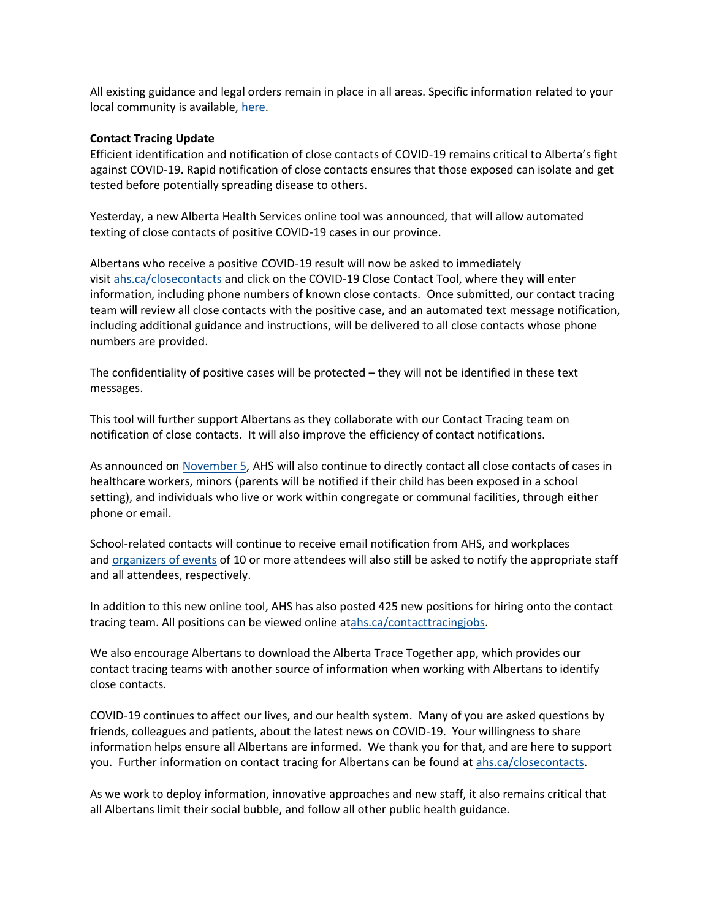All existing guidance and legal orders remain in place in all areas. Specific information related to your local community is available, [here.](https://www.alberta.ca/enhanced-public-health-measures.aspx#toc-2)

#### **Contact Tracing Update**

Efficient identification and notification of close contacts of COVID-19 remains critical to Alberta's fight against COVID-19. Rapid notification of close contacts ensures that those exposed can isolate and get tested before potentially spreading disease to others.

Yesterday, a new Alberta Health Services online tool was announced, that will allow automated texting of close contacts of positive COVID-19 cases in our province.

Albertans who receive a positive COVID-19 result will now be asked to immediately visit [ahs.ca/closecontacts](http://www.ahs.ca/closecontacts) and click on the COVID-19 Close Contact Tool, where they will enter information, including phone numbers of known close contacts. Once submitted, our contact tracing team will review all close contacts with the positive case, and an automated text message notification, including additional guidance and instructions, will be delivered to all close contacts whose phone numbers are provided.

The confidentiality of positive cases will be protected – they will not be identified in these text messages.

This tool will further support Albertans as they collaborate with our Contact Tracing team on notification of close contacts. It will also improve the efficiency of contact notifications.

As announced on [November 5,](https://www.albertahealthservices.ca/news/Page15694.aspx) AHS will also continue to directly contact all close contacts of cases in healthcare workers, minors (parents will be notified if their child has been exposed in a school setting), and individuals who live or work within congregate or communal facilities, through either phone or email.

School-related contacts will continue to receive email notification from AHS, and workplaces and [organizers of events](http://www.ahs.ca/events) of 10 or more attendees will also still be asked to notify the appropriate staff and all attendees, respectively.

In addition to this new online tool, AHS has also posted 425 new positions for hiring onto the contact tracing team. All positions can be viewed online a[tahs.ca/contacttracingjobs.](http://www.ahs.ca/contacttracingjobs)

We also encourage Albertans to download the Alberta Trace Together app, which provides our contact tracing teams with another source of information when working with Albertans to identify close contacts.

COVID-19 continues to affect our lives, and our health system. Many of you are asked questions by friends, colleagues and patients, about the latest news on COVID-19. Your willingness to share information helps ensure all Albertans are informed. We thank you for that, and are here to support you. Further information on contact tracing for Albertans can be found at [ahs.ca/closecontacts.](http://www.ahs.ca/closecontacts)

As we work to deploy information, innovative approaches and new staff, it also remains critical that all Albertans limit their social bubble, and follow all other public health guidance.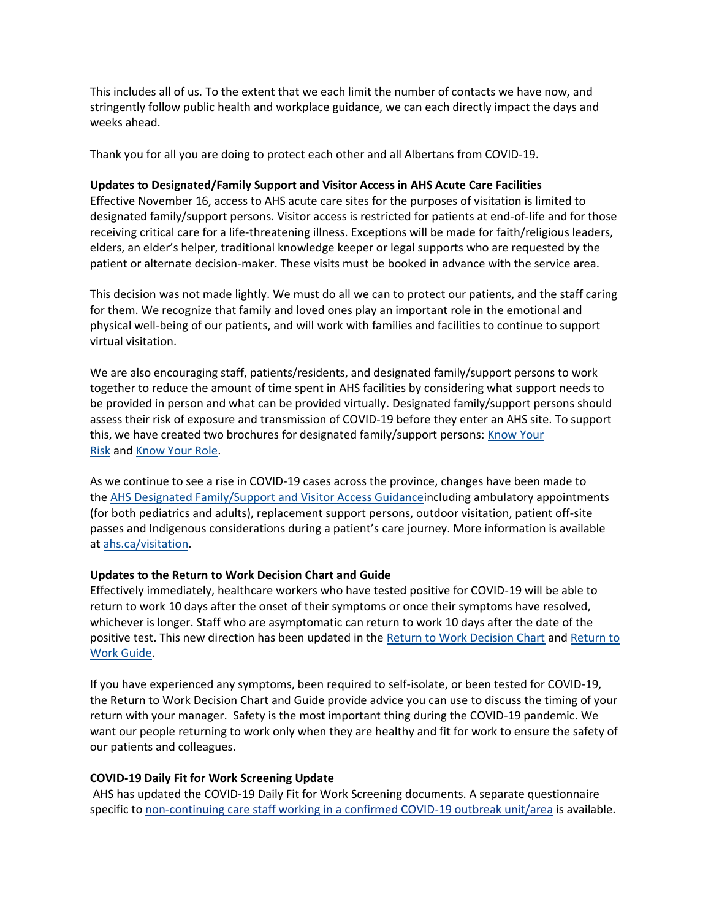This includes all of us. To the extent that we each limit the number of contacts we have now, and stringently follow public health and workplace guidance, we can each directly impact the days and weeks ahead.

Thank you for all you are doing to protect each other and all Albertans from COVID-19.

# **Updates to Designated/Family Support and Visitor Access in AHS Acute Care Facilities**

Effective November 16, access to AHS acute care sites for the purposes of visitation is limited to designated family/support persons. Visitor access is restricted for patients at end-of-life and for those receiving critical care for a life-threatening illness. Exceptions will be made for faith/religious leaders, elders, an elder's helper, traditional knowledge keeper or legal supports who are requested by the patient or alternate decision-maker. These visits must be booked in advance with the service area.

This decision was not made lightly. We must do all we can to protect our patients, and the staff caring for them. We recognize that family and loved ones play an important role in the emotional and physical well-being of our patients, and will work with families and facilities to continue to support virtual visitation.

We are also encouraging staff, patients/residents, and designated family/support persons to work together to reduce the amount of time spent in AHS facilities by considering what support needs to be provided in person and what can be provided virtually. Designated family/support persons should assess their risk of exposure and transmission of COVID-19 before they enter an AHS site. To support this, we have created two brochures for designated family/support persons: Know Your [Risk](https://www.albertahealthservices.ca/assets/info/ppih/if-ppih-covid-19-dfsp-know-your-risk.pdf) and [Know Your Role.](https://www.albertahealthservices.ca/assets/info/ppih/if-ppih-covid-19-dfsp-know-your-role.pdf)

As we continue to see a rise in COVID-19 cases across the province, changes have been made to the [AHS Designated Family/Support and Visitor Access Guidancei](https://www.albertahealthservices.ca/assets/healthinfo/ipc/hi-ipc-covid19-infosht-visiting-pts-pandemic.pdf)ncluding ambulatory appointments (for both pediatrics and adults), replacement support persons, outdoor visitation, patient off-site passes and Indigenous considerations during a patient's care journey. More information is available at [ahs.ca/visitation.](https://www.albertahealthservices.ca/topics/Page17001.aspx)

#### **Updates to the Return to Work Decision Chart and Guide**

Effectively immediately, healthcare workers who have tested positive for COVID-19 will be able to return to work 10 days after the onset of their symptoms or once their symptoms have resolved, whichever is longer. Staff who are asymptomatic can return to work 10 days after the date of the positive test. This new direction has been updated in the [Return to Work Decision Chart](https://www.albertahealthservices.ca/assets/info/ppih/if-ppih-covid-19-return-to-work-decision-chart-healthcare-worker.pdf) and Return to [Work Guide.](https://www.albertahealthservices.ca/assets/info/ppih/if-ppih-covid-19-return-to-work-guide-ahs-healthcare-worker.pdfhttps:/www.albertahealthservices.ca/assets/info/ppih/if-ppih-covid-19-return-to-work-guide-ahs-healthcare-worker.pdf)

If you have experienced any symptoms, been required to self-isolate, or been tested for COVID-19, the Return to Work Decision Chart and Guide provide advice you can use to discuss the timing of your return with your manager. Safety is the most important thing during the COVID-19 pandemic. We want our people returning to work only when they are healthy and fit for work to ensure the safety of our patients and colleagues.

# **COVID-19 Daily Fit for Work Screening Update**

AHS has updated the COVID-19 Daily Fit for Work Screening documents. A separate questionnaire specific to [non-continuing care staff working in a confirmed COVID-19 outbreak unit/area](https://www.albertahealthservices.ca/assets/info/ppih/if-ppih-covid-19-daily-fitness-for-work-screening-outbreak.pdf) is available.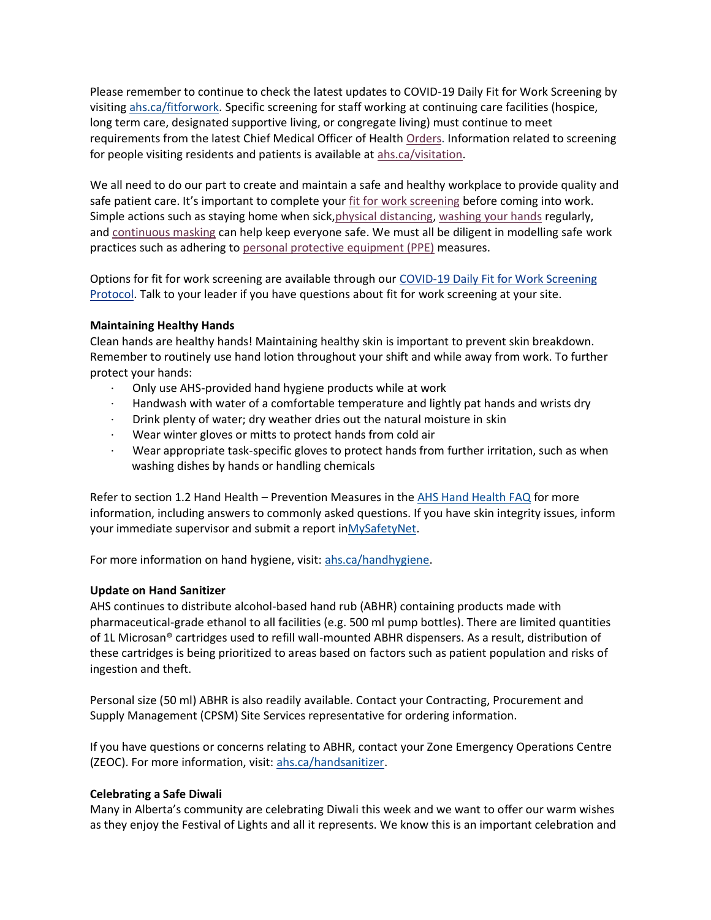Please remember to continue to check the latest updates to COVID-19 Daily Fit for Work Screening by visiting [ahs.ca/fitforwork.](https://www.albertahealthservices.ca/topics/Page17076.aspx) Specific screening for staff working at continuing care facilities (hospice, long term care, designated supportive living, or congregate living) must continue to meet requirements from the latest Chief Medical Officer of Health [Orders.](https://www.alberta.ca/covid-19-orders-and-legislation.aspx) Information related to screening for people visiting residents and patients is available at [ahs.ca/visitation.](http://www.ahs.ca/visitation)

We all need to do our part to create and maintain a safe and healthy workplace to provide quality and safe patient care. It's important to complete your [fit for work screening](https://www.albertahealthservices.ca/topics/Page17076.aspx) before coming into work. Simple actions such as staying home when sick, physical distancing, [washing your hands](https://insite.albertahealthservices.ca/tools/hh/Page9900.aspx) regularly, and [continuous masking](https://insite.albertahealthservices.ca/tools/Page24798.aspx) can help keep everyone safe. We must all be diligent in modelling safe work practices such as adhering to [personal protective equipment \(PPE\)](https://www.albertahealthservices.ca/topics/Page17048.aspx) measures.

Options for fit for work screening are available through our [COVID-19 Daily Fit for Work Screening](https://www.albertahealthservices.ca/assets/info/ppih/if-ppih-covid-19-daily-fitness-for-work-screening-protocols.pdf)  [Protocol.](https://www.albertahealthservices.ca/assets/info/ppih/if-ppih-covid-19-daily-fitness-for-work-screening-protocols.pdf) Talk to your leader if you have questions about fit for work screening at your site.

### **Maintaining Healthy Hands**

Clean hands are healthy hands! Maintaining healthy skin is important to prevent skin breakdown. Remember to routinely use hand lotion throughout your shift and while away from work. To further protect your hands:

- · Only use AHS-provided hand hygiene products while at work
- Handwash with water of a comfortable temperature and lightly pat hands and wrists dry
- · Drink plenty of water; dry weather dries out the natural moisture in skin
- Wear winter gloves or mitts to protect hands from cold air
- · Wear appropriate task-specific gloves to protect hands from further irritation, such as when washing dishes by hands or handling chemicals

Refer to section 1.2 Hand Health – Prevention Measures in the [AHS Hand Health FAQ](https://www.albertahealthservices.ca/assets/info/hp/hh/if-hp-hh-hand-health-faq.pdf) for more information, including answers to commonly asked questions. If you have skin integrity issues, inform your immediate supervisor and submit a report in MySafetyNet.

For more information on hand hygiene, visit: [ahs.ca/handhygiene.](https://www.albertahealthservices.ca/info/Page6426.aspx)

# **Update on Hand Sanitizer**

AHS continues to distribute alcohol-based hand rub (ABHR) containing products made with pharmaceutical-grade ethanol to all facilities (e.g. 500 ml pump bottles). There are limited quantities of 1L Microsan® cartridges used to refill wall-mounted ABHR dispensers. As a result, distribution of these cartridges is being prioritized to areas based on factors such as patient population and risks of ingestion and theft.

Personal size (50 ml) ABHR is also readily available. Contact your Contracting, Procurement and Supply Management (CPSM) Site Services representative for ordering information.

If you have questions or concerns relating to ABHR, contact your Zone Emergency Operations Centre (ZEOC). For more information, visit: [ahs.ca/handsanitizer.](https://www.albertahealthservices.ca/topics/Page17146.aspx)

# **Celebrating a Safe Diwali**

Many in Alberta's community are celebrating Diwali this week and we want to offer our warm wishes as they enjoy the Festival of Lights and all it represents. We know this is an important celebration and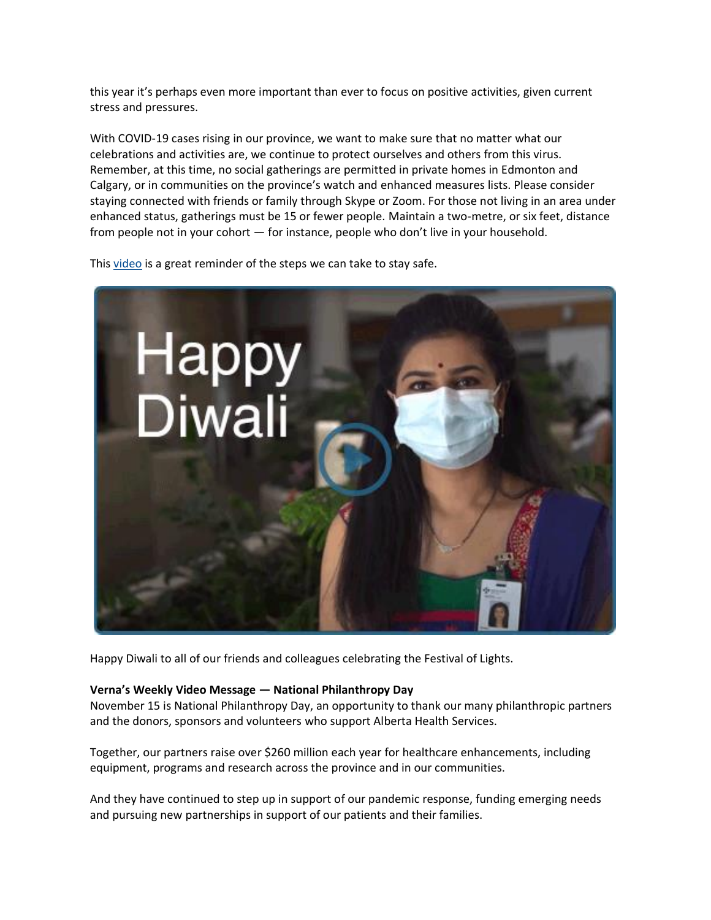this year it's perhaps even more important than ever to focus on positive activities, given current stress and pressures.

With COVID-19 cases rising in our province, we want to make sure that no matter what our celebrations and activities are, we continue to protect ourselves and others from this virus. Remember, at this time, no social gatherings are permitted in private homes in Edmonton and Calgary, or in communities on the province's watch and enhanced measures lists. Please consider staying connected with friends or family through Skype or Zoom. For those not living in an area under enhanced status, gatherings must be 15 or fewer people. Maintain a two-metre, or six feet, distance from people not in your cohort — for instance, people who don't live in your household.

This [video](https://www.albertahealthservices.ca/topics/Page17278.aspx) is a great reminder of the steps we can take to stay safe.



Happy Diwali to all of our friends and colleagues celebrating the Festival of Lights.

#### **Verna's Weekly Video Message — National Philanthropy Day**

November 15 is National Philanthropy Day, an opportunity to thank our many philanthropic partners and the donors, sponsors and volunteers who support Alberta Health Services.

Together, our partners raise over \$260 million each year for healthcare enhancements, including equipment, programs and research across the province and in our communities.

And they have continued to step up in support of our pandemic response, funding emerging needs and pursuing new partnerships in support of our patients and their families.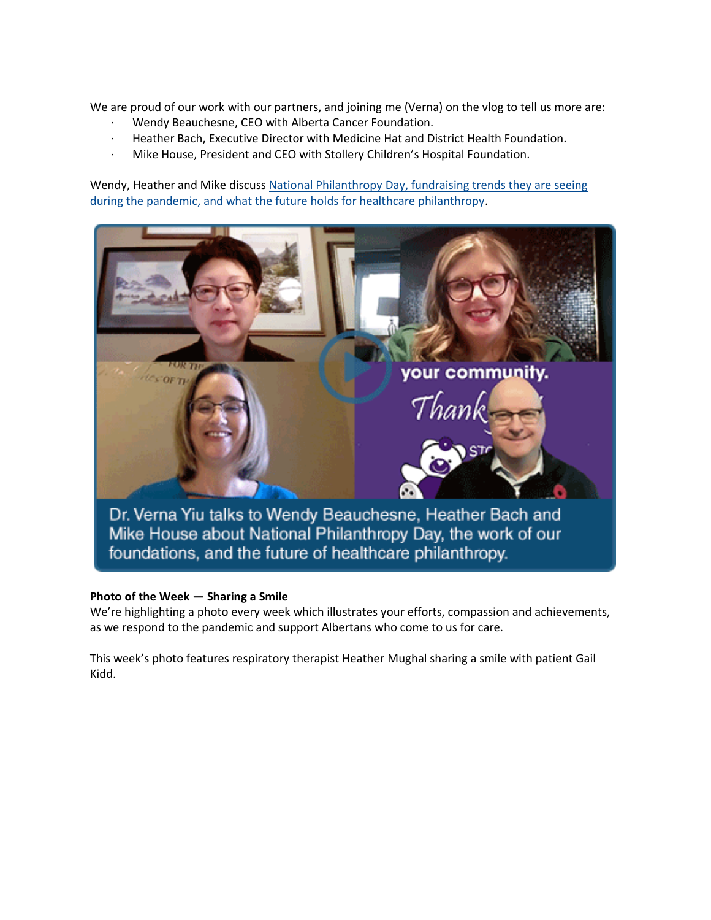We are proud of our work with our partners, and joining me (Verna) on the vlog to tell us more are:

- Wendy Beauchesne, CEO with Alberta Cancer Foundation.
- · Heather Bach, Executive Director with Medicine Hat and District Health Foundation.
- Mike House, President and CEO with Stollery Children's Hospital Foundation.

Wendy, Heather and Mike discuss [National Philanthropy Day, fundraising trends they are seeing](https://www.albertahealthservices.ca/Blogs/ceo/298.aspx#.X68hvWhKiUk)  [during the pandemic, and what the future holds for healthcare philanthropy.](https://www.albertahealthservices.ca/Blogs/ceo/298.aspx#.X68hvWhKiUk)



# **Photo of the Week — Sharing a Smile**

We're highlighting a photo every week which illustrates your efforts, compassion and achievements, as we respond to the pandemic and support Albertans who come to us for care.

This week's photo features respiratory therapist Heather Mughal sharing a smile with patient Gail Kidd.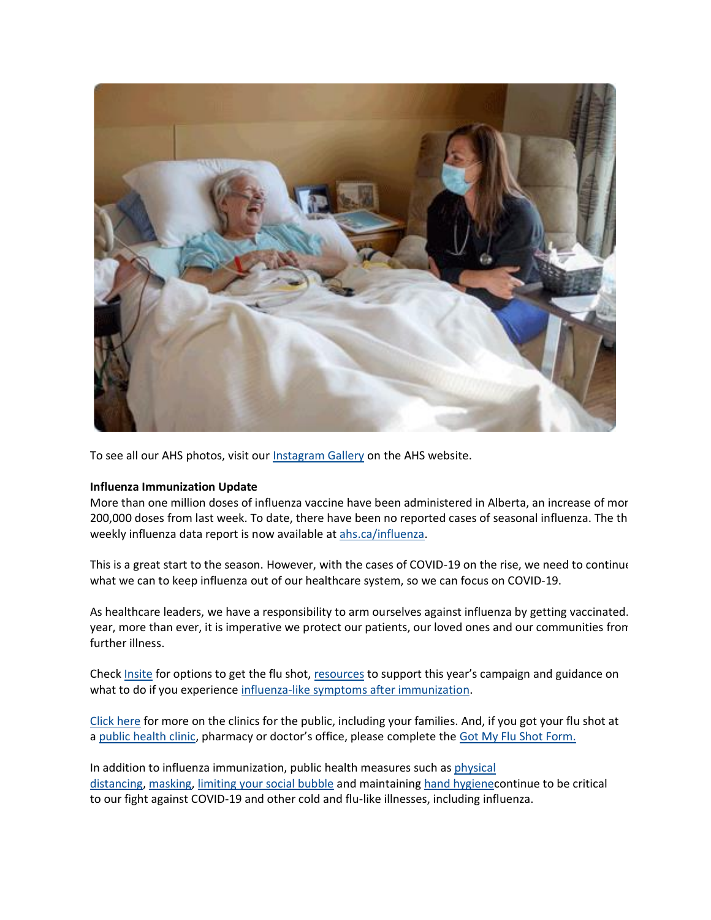

To see all our AHS photos, visit our [Instagram Gallery](https://www.albertahealthservices.ca/news/Page15439.aspx#photos) on the AHS website.

#### **Influenza Immunization Update**

More than one million doses of influenza vaccine have been administered in Alberta, an increase of mor 200,000 doses from last week. To date, there have been no reported cases of seasonal influenza. The th weekly influenza data report is now available at [ahs.ca/influenza.](http://www.ahs.ca/influenza)

This is a great start to the season. However, with the cases of COVID-19 on the rise, we need to continue what we can to keep influenza out of our healthcare system, so we can focus on COVID-19.

As healthcare leaders, we have a responsibility to arm ourselves against influenza by getting vaccinated. year, more than ever, it is imperative we protect our patients, our loved ones and our communities from further illness.

Check [Insite](https://insite.albertahealthservices.ca/hr/Page2108.aspx) for options to get the flu shot, [resources](https://insite.albertahealthservices.ca/hr/Page23712.aspx) to support this year's campaign and guidance on what to do if you experience [influenza-like symptoms after immunization.](https://insite.albertahealthservices.ca/Main/assets/hr/tms-hr-whs-influenza-immunization-after-care-covid.pdf)

[Click here](https://www.albertahealthservices.ca/influenza/influenza.aspx) for more on the clinics for the public, including your families. And, if you got your flu shot at a [public health clinic](https://www.albertahealthservices.ca/influenza/influenza.aspx), pharmacy or doctor's office, please complete the [Got My Flu Shot Form.](https://insite.albertahealthservices.ca/hr/Page25170.aspx)

In addition to influenza immunization, public health measures such as [physical](https://insite.albertahealthservices.ca/main/assets/tls/ep/tls-ep-covid-19-social-distancing-at-work.pdf)  [distancing,](https://insite.albertahealthservices.ca/main/assets/tls/ep/tls-ep-covid-19-social-distancing-at-work.pdf) [masking,](https://extranet.ahsnet.ca/teams/policydocuments/1/clp-ahs-use-of-masks-hcs-267.pdf) [limiting your social bubble](https://www.albertahealthservices.ca/topics/Page17166.aspx) and maintaining [hand hygienec](https://www.albertahealthservices.ca/assets/healthinfo/ipc/if-hp-ipc-flu-handwash-how-to.pdf)ontinue to be critical to our fight against COVID-19 and other cold and flu-like illnesses, including influenza.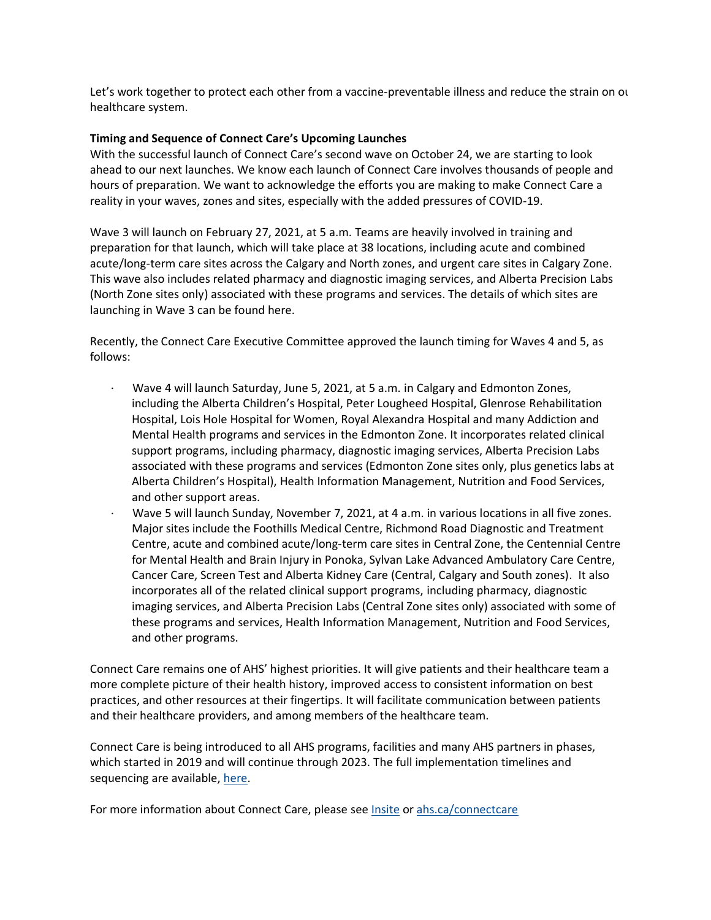Let's work together to protect each other from a vaccine-preventable illness and reduce the strain on our healthcare system.

### **Timing and Sequence of Connect Care's Upcoming Launches**

With the successful launch of Connect Care's second wave on October 24, we are starting to look ahead to our next launches. We know each launch of Connect Care involves thousands of people and hours of preparation. We want to acknowledge the efforts you are making to make Connect Care a reality in your waves, zones and sites, especially with the added pressures of COVID-19.

Wave 3 will launch on February 27, 2021, at 5 a.m. Teams are heavily involved in training and preparation for that launch, which will take place at 38 locations, including acute and combined acute/long-term care sites across the Calgary and North zones, and urgent care sites in Calgary Zone. This wave also includes related pharmacy and diagnostic imaging services, and Alberta Precision Labs (North Zone sites only) associated with these programs and services. The details of which sites are launching in Wave 3 can be found here.

Recently, the Connect Care Executive Committee approved the launch timing for Waves 4 and 5, as follows:

- · Wave 4 will launch Saturday, June 5, 2021, at 5 a.m. in Calgary and Edmonton Zones, including the Alberta Children's Hospital, Peter Lougheed Hospital, Glenrose Rehabilitation Hospital, Lois Hole Hospital for Women, Royal Alexandra Hospital and many Addiction and Mental Health programs and services in the Edmonton Zone. It incorporates related clinical support programs, including pharmacy, diagnostic imaging services, Alberta Precision Labs associated with these programs and services (Edmonton Zone sites only, plus genetics labs at Alberta Children's Hospital), Health Information Management, Nutrition and Food Services, and other support areas.
- · Wave 5 will launch Sunday, November 7, 2021, at 4 a.m. in various locations in all five zones. Major sites include the Foothills Medical Centre, Richmond Road Diagnostic and Treatment Centre, acute and combined acute/long-term care sites in Central Zone, the Centennial Centre for Mental Health and Brain Injury in Ponoka, Sylvan Lake Advanced Ambulatory Care Centre, Cancer Care, Screen Test and Alberta Kidney Care (Central, Calgary and South zones). It also incorporates all of the related clinical support programs, including pharmacy, diagnostic imaging services, and Alberta Precision Labs (Central Zone sites only) associated with some of these programs and services, Health Information Management, Nutrition and Food Services, and other programs.

Connect Care remains one of AHS' highest priorities. It will give patients and their healthcare team a more complete picture of their health history, improved access to consistent information on best practices, and other resources at their fingertips. It will facilitate communication between patients and their healthcare providers, and among members of the healthcare team.

Connect Care is being introduced to all AHS programs, facilities and many AHS partners in phases, which started in 2019 and will continue through 2023. The full implementation timelines and sequencing are available, [here.](https://insite.albertahealthservices.ca/main/assets/cis/tms-cis-connect-care-wave-detail-pages.pdf%22%20%5Ct%20%22_blank)

For more information about Connect Care, please see [Insite](https://insite.albertahealthservices.ca/cis/Page12170.aspx%22%20%5Ct%20%22_blank) or [ahs.ca/connectcare](http://www.ahs.ca/connectcare)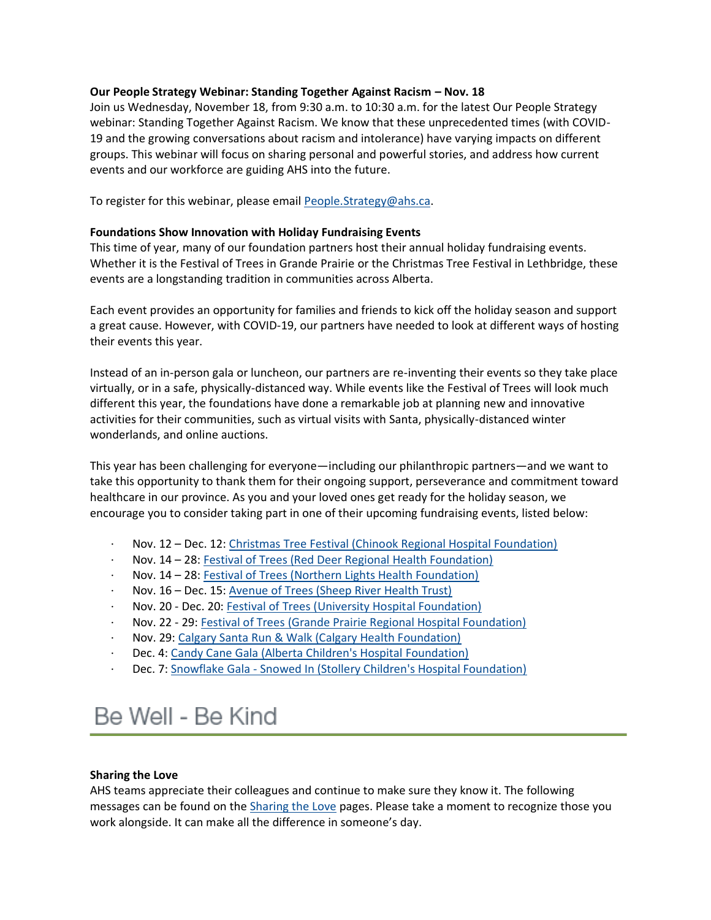### **Our People Strategy Webinar: Standing Together Against Racism – Nov. 18**

Join us Wednesday, November 18, from 9:30 a.m. to 10:30 a.m. for the latest Our People Strategy webinar: Standing Together Against Racism. We know that these unprecedented times (with COVID-19 and the growing conversations about racism and intolerance) have varying impacts on different groups. This webinar will focus on sharing personal and powerful stories, and address how current events and our workforce are guiding AHS into the future.

To register for this webinar, please email [People.Strategy@ahs.ca.](mailto:People.Strategy@ahs.ca)

### **Foundations Show Innovation with Holiday Fundraising Events**

This time of year, many of our foundation partners host their annual holiday fundraising events. Whether it is the Festival of Trees in Grande Prairie or the Christmas Tree Festival in Lethbridge, these events are a longstanding tradition in communities across Alberta.

Each event provides an opportunity for families and friends to kick off the holiday season and support a great cause. However, with COVID-19, our partners have needed to look at different ways of hosting their events this year.

Instead of an in-person gala or luncheon, our partners are re-inventing their events so they take place virtually, or in a safe, physically-distanced way. While events like the Festival of Trees will look much different this year, the foundations have done a remarkable job at planning new and innovative activities for their communities, such as virtual visits with Santa, physically-distanced winter wonderlands, and online auctions.

This year has been challenging for everyone—including our philanthropic partners—and we want to take this opportunity to thank them for their ongoing support, perseverance and commitment toward healthcare in our province. As you and your loved ones get ready for the holiday season, we encourage you to consider taking part in one of their upcoming fundraising events, listed below:

- · Nov. 12 Dec. 12: [Christmas Tree Festival \(Chinook Regional Hospital Foundation\)](http://crhfoundation.ca/events/tree_festival.php)
- · Nov. 14 28: [Festival of Trees \(Red Deer Regional Health Foundation\)](https://www.reddeerfestivaloftrees.ca/)
- Nov. 14 28: [Festival of Trees \(Northern Lights Health Foundation\)](https://www.northernlightshealthfoundation.ca/festival-of-trees.htm)
- · Nov. 16 Dec. 15: [Avenue of Trees \(Sheep River Health Trust\)](https://sheepriverhealthtrust.ca/avenue-of-trees/)
- Nov. 20 Dec. 20: [Festival of Trees \(University Hospital Foundation\)](http://www.festivaloftrees.ca/)
- · Nov. 22 29: [Festival of Trees \(Grande Prairie Regional Hospital Foundation\)](https://www.festivaloftreesgp.ca/what-to-do/)
- Nov. 29: [Calgary Santa Run & Walk \(Calgary Health Foundation\)](https://www.calgaryhealthtrust.ca/events/event-list/2020/calgary-santa-run-walk/)
- Dec. 4: [Candy Cane Gala \(Alberta Children's Hospital Foundation\)](http://www.childrenshospital.ab.ca/site/PageServer?pagename=ccgala)
- Dec. 7: Snowflake Gala [Snowed In \(Stollery Children's Hospital Foundation\)](https://www.stollerykids.com/events/signature-events/snowed-in.aspx)

# Be Well - Be Kind

#### **Sharing the Love**

AHS teams appreciate their colleagues and continue to make sure they know it. The following messages can be found on the [Sharing the Love](https://www.albertahealthservices.ca/about/page13797.aspx) pages. Please take a moment to recognize those you work alongside. It can make all the difference in someone's day.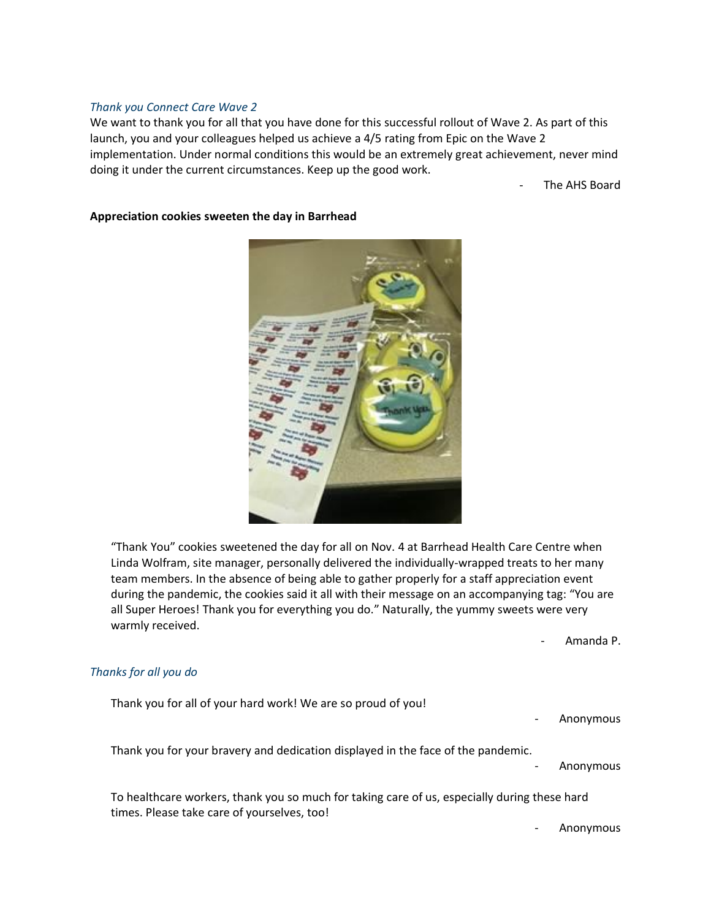#### *Thank you Connect Care Wave 2*

We want to thank you for all that you have done for this successful rollout of Wave 2. As part of this launch, you and your colleagues helped us achieve a 4/5 rating from Epic on the Wave 2 implementation. Under normal conditions this would be an extremely great achievement, never mind doing it under the current circumstances. Keep up the good work.

The AHS Board

#### **Appreciation cookies sweeten the day in Barrhead**



"Thank You" cookies sweetened the day for all on Nov. 4 at Barrhead Health Care Centre when Linda Wolfram, site manager, personally delivered the individually-wrapped treats to her many team members. In the absence of being able to gather properly for a staff appreciation event during the pandemic, the cookies said it all with their message on an accompanying tag: "You are all Super Heroes! Thank you for everything you do." Naturally, the yummy sweets were very warmly received.

- Amanda P.

#### *Thanks for all you do*

times. Please take care of yourselves, too!

Thank you for all of your hard work! We are so proud of you! - Anonymous Thank you for your bravery and dedication displayed in the face of the pandemic. - Anonymous To healthcare workers, thank you so much for taking care of us, especially during these hard

- Anonymous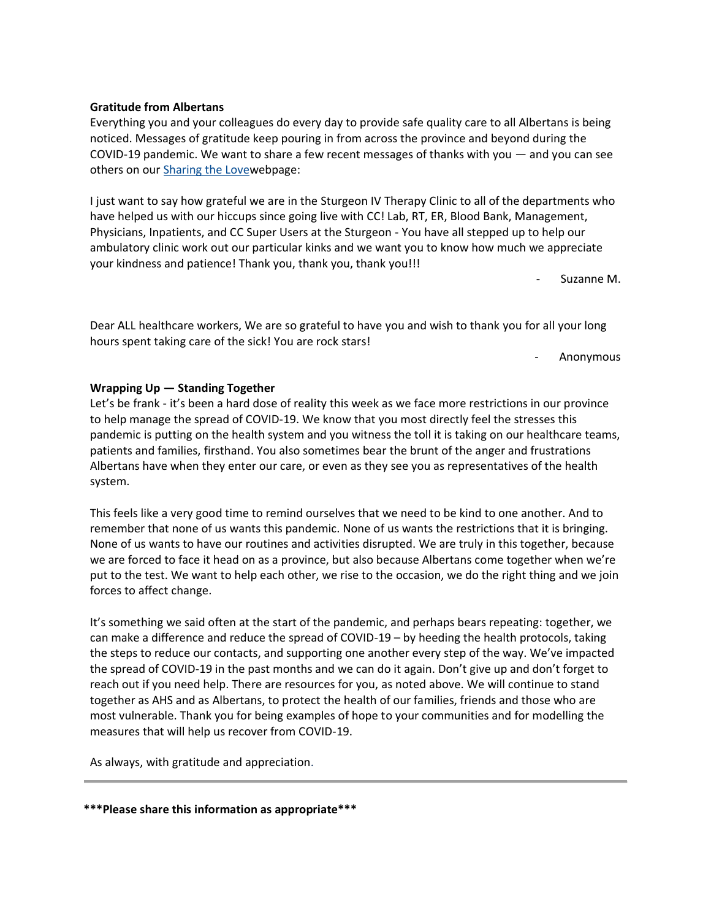# **\*\*\*Please share this information as appropriate\*\*\***

# **Gratitude from Albertans**

Everything you and your colleagues do every day to provide safe quality care to all Albertans is being noticed. Messages of gratitude keep pouring in from across the province and beyond during the COVID-19 pandemic. We want to share a few recent messages of thanks with you — and you can see others on our [Sharing the Lovew](https://www.albertahealthservices.ca/about/page13797.aspx)ebpage:

I just want to say how grateful we are in the Sturgeon IV Therapy Clinic to all of the departments who have helped us with our hiccups since going live with CC! Lab, RT, ER, Blood Bank, Management, Physicians, Inpatients, and CC Super Users at the Sturgeon - You have all stepped up to help our ambulatory clinic work out our particular kinks and we want you to know how much we appreciate your kindness and patience! Thank you, thank you, thank you!!!

- Suzanne M.

Dear ALL healthcare workers, We are so grateful to have you and wish to thank you for all your long hours spent taking care of the sick! You are rock stars!

- Anonymous

# **Wrapping Up — Standing Together**

Let's be frank - it's been a hard dose of reality this week as we face more restrictions in our province to help manage the spread of COVID-19. We know that you most directly feel the stresses this pandemic is putting on the health system and you witness the toll it is taking on our healthcare teams, patients and families, firsthand. You also sometimes bear the brunt of the anger and frustrations Albertans have when they enter our care, or even as they see you as representatives of the health system.

This feels like a very good time to remind ourselves that we need to be kind to one another. And to remember that none of us wants this pandemic. None of us wants the restrictions that it is bringing. None of us wants to have our routines and activities disrupted. We are truly in this together, because we are forced to face it head on as a province, but also because Albertans come together when we're put to the test. We want to help each other, we rise to the occasion, we do the right thing and we join forces to affect change.

It's something we said often at the start of the pandemic, and perhaps bears repeating: together, we can make a difference and reduce the spread of COVID-19 – by heeding the health protocols, taking the steps to reduce our contacts, and supporting one another every step of the way. We've impacted the spread of COVID-19 in the past months and we can do it again. Don't give up and don't forget to reach out if you need help. There are resources for you, as noted above. We will continue to stand together as AHS and as Albertans, to protect the health of our families, friends and those who are most vulnerable. Thank you for being examples of hope to your communities and for modelling the measures that will help us recover from COVID-19.

As always, with gratitude and appreciation.